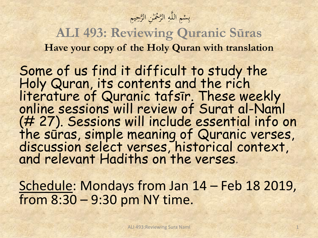بِسْمِ اللَّهِ الرَّحْمَٰنِ الرَّحِيمِ ا با<br>ا ا<br>- $\overline{4}$ **م** بدبا

**ALI 493: Reviewing Quranic Sūras Have your copy of the Holy Quran with translation**

Some of us find it difficult to study the Holy Quran, its contents and the rich literature of Quranic tafsīr. These weekly online sessions will review of Surat al-Naml (# 27). Sessions will include essential info on the sūras, simple meaning of Quranic verses, discussion select verses, historical context, and relevant Hadiths on the verses.

Schedule: Mondays from Jan 14 – Feb 18 2019, from 8:30 – 9:30 pm NY time.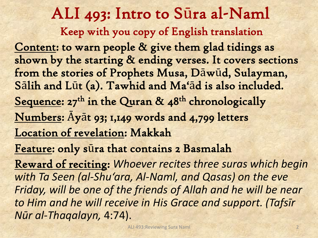ALI 493: Intro to Sūra al-Naml Keep with you copy of English translation Content: to warn people & give them glad tidings as shown by the starting & ending verses. It covers sections from the stories of Prophets Musa, Dāwūd, Sulayman, Sālih and Lūt (a). Tawhid and Ma'ād is also included. Sequence:  $27<sup>th</sup>$  in the Quran &  $48<sup>th</sup>$  chronologically Numbers: Āyāt 93; 1,149 words and 4,799 letters Location of revelation: Makkah Feature: only sūra that contains 2 Basmalah Reward of reciting: *Whoever recites three suras which begin with Ta Seen (al-Shu'ara, Al-Naml, and Qasas) on the eve* 

Friday, will be one of the friends of Allah and he will be near *to Him and he will receive in His Grace and support. (Tafsīr Nūr al-Thaqalayn,* 4:74).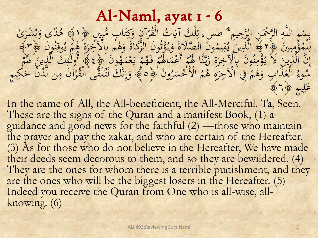### Al-Naml, ayat 1 - 6

بِينْهِ اللَّهِ الرَّحْمَٰنِ الرَّحِيمِ \* طس َّ تِلْكَ آيَاتُ<br>الرَّجِّ الرَّحْمَٰنِ الرَّحِيمِ \* طس ِ تِلْكَ آيَاتُ ا<br>ا ا<br>ـ  $\overline{4}$ م<br>و ِتِلْكَ آيَاتُ الْقُرْآنِ وَكِتَابٍ مُّبِينٍ ﴿١﴾ هُدًى وَبُشْرَىٰ<br>إِحْدَ رَبُّهُمْ بِهِ السَّاتَ الْمُرَاثَ وَلَيْهِ مِنْ الْمَجَّ  $\frac{1}{\sqrt{2}}$  $\overline{\phantom{0}}$  $\frac{1}{2}$  $\frac{1}{2}$ و<br>ا ر<br>( ْ  $\frac{1}{2}$ ب و<br>د ل<br>و ۇمنين پېر<br>البت  $\ddot{\cdot}$ : د د  $\overline{\phantom{a}}$ ة<br>المرا  $\overline{\phantom{a}}$ لِّلْمُؤْمِنِينَ ﴿1﴾ الَّذِينَ يُقِيمُونَ الصَّلَاةَ وَيُؤْتُونَ الرَّدَّ<br>بَسَّلاً: ل<br>; زُر بروں<br>ر ەم<br>ئا ید<br>۱ مُونَ الصَّلَاةَ وَيُّ<br>يَتَمَتَّ أَمُّهُ أَوْسًا َ يم ُ  $\overline{a}$ <u>يا:</u><br>ما ي  $\frac{1}{1}$ ِينِ<br>لَّذِينَ ﴾ الّذِينَ يُقِيمُونَ الصَّلَاةَ وَيُؤْتُونَ الزَّكَاةَ وَهُم بِالْآخِرَةِ هُمْ يُوقِنُّ<br>وَهُمْ يَجْمَعُونَ مِنْ يَوَّلُوا وَالْمُؤْتَوِنَ الزَّكَاةَ وَهُمْ بِالْآخِرَةِ هُمْ يُوقِنُّ  $\frac{1}{2}$ یہ<br>ا ي م<br>ا م B<br>Prove مُّ بِالْآَخِرَةُ هُ ُر<br>پر  $\frac{2}{3}$ رَّكَاةَ وَهُمْ بِالْآخِرَةِ هُمْ يُوقِنُونَ ﴿٣ َ  $\frac{1}{2}$ م م ةُ مِنُونَ بِالْآخِرَةِ زَيَّنَّا لَهُ ۚ<br>وَمِنُونَ بِالْآخِرَةِ زَيَّنَّا لَهُ ۚ ن<br>م<br>م ز<br>ء ر<br>ر و<br>م  $\overline{a}$ ەم<br>باھا اِنَّ الَّكَ يَنْ لَا يُؤْمِنُونَ بِالْآخِرَةِ زَيَّنَّا لَهُمْ أَعْمَالَهُمْ فَهُمْ يَعْمَهُونَ مَرْدِ<br>وَالْمَرْأَى الْمَرْجَلِ وَالْحَجَرَةِ زَيَّنَّا لَهُمْ أَعْمَالُهُمْ فَهُمْ يَعْمَهُونَ مَرْدِ َ مْ يَعْمَهُمْ  $\sim$   $\sim$ ْ یا:<br>با **1** َّهٖ فَـهُمُّ<br>مَا فَـهُمُّ <sup>1</sup> بََل م ٤ ََْ ِه<br>ر **أكل** ين أولئكَ الَّذِينَ لَهُ مَ<br>ين أولئكَ الَّذِينَ لَهُ مَ  $\ddot{\phantom{a}}$  $\mathbf{r}$ رُونَ پُ لأَخْسَسُّ  $\overline{\phantom{a}}$ .<br>. ا  $\mathbf{r}$ م  $\boldsymbol{\beta}$ ةِ ه ر ِِْْ ِِف ا م ر<br>ا <sup>1</sup>  $\boldsymbol{\beta}$ الْعَذَابِ وَهُ َ  $\begin{array}{c} \mathbf{X} & \mathbf{Y} \\ \mathbf{Y} & \mathbf{Y} \end{array}$  $\overline{\mathsf{r}}$  $\overline{\phantom{0}}$ وء  $\frac{1}{2}$ َسُوءُ الْعَذَابِ وَهُمْ فِي الْآخِرَةِ هُمُ الْأَخْسَرُونَ ﴿ وَإِنَّكَ لَتُلَقَّى الْقُرْآنَ مِن لَّدُنَّ حَكِيم<br>مَا هُدَّ مَنْ تَّمَّمَ  $\overline{a}$ ر<br>( ْ بد<br>ف  $\int$ إ َ  $\leq$ عَلِيم ﴿ 1 ي  $\overline{\mathfrak{a}}$ 

In the name of All, the All-beneficient, the All-Merciful. Ta, Seen. These are the signs of the Quran and a manifest Book, (1) a guidance and good news for the faithful (2) —those who maintain the prayer and pay the zakat, and who are certain of the Hereafter. (3) As for those who do not believe in the Hereafter, We have made their deeds seem decorous to them, and so they are bewildered. (4) They are the ones for whom there is a terrible punishment, and they are the ones who will be the biggest losers in the Hereafter. (5) Indeed you receive the Quran from One who is all-wise, allknowing. (6)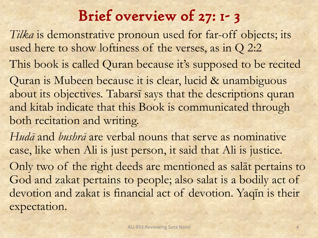## Brief overview of 27: 1- 3

*Tilka* is demonstrative pronoun used for far-off objects; its used here to show loftiness of the verses, as in Q 2:2 This book is called Quran because it's supposed to be recited Quran is Mubeen because it is clear, lucid & unambiguous about its objectives. Tabarsī says that the descriptions quran and kitab indicate that this Book is communicated through both recitation and writing.

*Hudā* and *bushrā* are verbal nouns that serve as nominative case, like when Ali is just person, it said that Ali is justice. Only two of the right deeds are mentioned as salāt pertains to God and zakat pertains to people; also salat is a bodily act of devotion and zakat is financial act of devotion. Yaqīn is their expectation.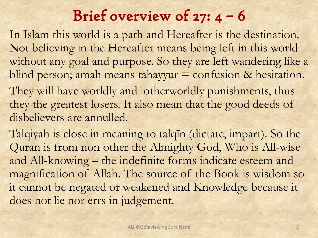# Brief overview of  $27: 4 - 6$

In Islam this world is a path and Hereafter is the destination. Not believing in the Hereafter means being left in this world without any goal and purpose. So they are left wandering like a blind person; amah means tahayyur = confusion & hesitation. They will have worldly and otherworldly punishments, thus they the greatest losers. It also mean that the good deeds of disbelievers are annulled.

Talqiyah is close in meaning to talqīn (dictate, impart). So the Quran is from non other the Almighty God, Who is All-wise and All-knowing – the indefinite forms indicate esteem and magnification of Allah. The source of the Book is wisdom so it cannot be negated or weakened and Knowledge because it does not lie nor errs in judgement.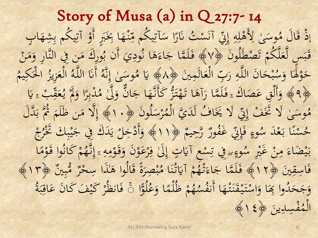Story of Musa (a) in Q 27:7- 14 إِذْ قَالَ مُوسَىٰ لِأَهْلِهِ إِنِّي آنَسْتُ نَارًا سَ ْ  $\ddot{\phantom{0}}$  $\overline{\phantom{a}}$ :<br>نا  $\ddot{\cdot}$ آنَسْ .<br>ن ي ِِِن ه ل ه إ  $\overline{4}$  $\overline{\mathfrak{c}}$  $\frac{a}{a}$  $\ddot{\bullet}$ ٰ ْلِ ى وس  $\ddot{\phantom{0}}$ K<br>B. قَالَ مُوسَىٰ لِأَهْلِهِ إِنِّي آنَسْتُ نَارًا سَآتِيكُم مِّنْهَا بِخَبَرٍ أَوْ آتِ َ ن<br>نا ِ<br>پُل **ٔ**  $\frac{1}{2}$  $\ddot{ }$ <u>.</u><br>. َ  $\ddot{\phantom{a}}$ ي  $\frac{1}{2}$ آتِيكُم مِّنْهَا بِخَبَرٍ أَوْ آتِيكُم بِشْهَابٍ ي ِ<br>پان  $\overline{\phantom{0}}$ َ ي قَبَسِ لَّعَلَّكُمْ تَصْطَلُونَ ﴿٧﴾ فَلَمَّا جَاءَهَا نُودِيَ أَن بُورِا<br>\*\*\*  $\ddot{\zeta}$  $\frac{1}{2}$  $\mathbf{r}$ **گ**ر  $\overline{a}$  $\ddot{\cdot}$  $\frac{1}{2}$ <u>ة</u> ب<br>اه ِ بِهِ فَلَمَّا جَاءَهَا نُودِيَ أَن بُورِكَ مَن فِي النَّارِ وَمَنْ<br>فَلَمَّا جَاءَهَا نُودِيَ أَن بُورِكَ مَن فِي النَّارِ وَمَنْ  $\ddot{\phantom{a}}$ **a**  $\frac{1}{\sqrt{2}}$  $\sim$ <u>ة</u>  $\lambda$ َ  $\overline{a}$ الْعَالَمِينَ ﴿  $\ddot{\phantom{0}}$ ل<br>ا ام<br>ا ْ ي حَانَ اللَّهِ رَبِّ َ  $\overline{4}$  $\ddot{\phantom{0}}$  $\overline{\phantom{0}}$ ْ  $\ddot{\cdot}$  $\frac{1}{2}$ حَوْلُهَا وَسُبْحَانَ اللَّهِ رَبِّ الْعَالَمِينَ ﴿٨٠١ يَا مُوسَىٰ إِنَّهُ أَنَا اللَّهُ الْ َ  $\cup$ <sup>o</sup> ्<br> ل<br>ا  $\sim$ أَنَا اللَّهُ  $\ddot{\cdot}$  $\overline{a}$ ه َّ ى وس بد<br>ف  $\int$ إ ا<br>ا م<br>می  $\lambda$ ُمِّهِ يَا مُوسَىٰ إِنَّهُ أَنَا اللَّهُ الْعَزِيزُ الْحَكِيمُ<br>عَقِّ مِنْ قَوْمٌ بِقَالَ مِنْ اللَّهُ الْعَزِيزُ الْحَكِيمُ  $\ddot{\mathbf{r}}$ َكِ  $\ddot{\phantom{1}}$ <u>ا</u><br>ا ا j ِزيز ْ الم<br>المراجع ِهِ ٩ ﴾ وَأَلْقِ عَصَاكَ ، فَلَمَّا رَآهَا تَهْتَزُّ كَأَنَّهَا جَانٌّ وَلَّىٰ مُدْبِرًا وَ.<br>وَالَّذِينَ مَسْرًا لَهُ الْمَاسَ وَالْمَاسَ وَالْمَاسَ وَالْمَاسَ وَالْمَاسَ وَالْمَاسَ وَالْمَاسَ وَالْمَاسَ  $\ddot{\lambda}$ <u>ئا</u>  $\boldsymbol{\beta}$ لہ<br>و <u>ة</u>  $\ddot{\phantom{0}}$ ک<br>۔ ل<br>ا ل َ  $\overline{\phantom{a}}$ ِ<br>با ِ<br>ِ  $\lambda$ أَنَّهَا جَانٌّ وَلَّىٰ مُّدْبِرًا وَلَا يُعَقِّبْ ۽ يَا<br>فَي جَانٌ وَلَّىٰ مُدْبِرًا وَلَا يُعَقِّبُ ۽ يَا َ  $\sim$  $\boldsymbol{d}$  $\int$  $\frac{1}{2}$ ْ بِيَ<br>:  $\frac{33}{5}$ ا<br>بر<br>بر یا۔<br>پ ي<br>م<br>أ  $\overline{\mathcal{L}}$  $\overline{\mathbf{b}}$ يَّ لَا يَخَافُ لَدَيَّ الَّهُ  $\hspace{0.01cm}$ </sub>ا َ .<br>د ا وسَىٰ لَا تَخَفْ إِتِّي  $\sum$ ا<br>ا َ  $\lambda$ مُّوسَىٰ لَا تَخَفْ إِنِّ لَا يَخَافُ لَدَيَّ الْمُرْسَلُونَ ﴿ ١٠﴾ إِلَّا مَن ظَلَمَ ثُمَّ بَدَّلَ  $\ddot{\zeta}$  $\frac{1}{1}$ ر<br>ر ب<br>. ب  $\mathfrak{g}$  $\frac{1}{\sqrt{2}}$  $\sim$ ا<br>ا رٌّ رَّحِيمٌ ﴾<br>ر بّ غَفُورٌ<br>ي ِِِن إ َ وء <u>َ</u><br>قا  $\epsilon$  $\ddot{\phantom{0}}$ مْنَنًا بَعْدَ سُدُ<br>م ِس میں میں<br>منابع ب<br>.  $\ddot{\lambda}$ × منطقة المستخدمة ر<br>با  $\overline{\phantom{0}}$ حُسْنًا بَعْدَ سُوءٍ فَإِنِّي غَفُورٌ رَّحِيمٌ ﴿ ١١﴾ وَأَدْخِلْ يَدَكَ فِي جَيْبِكَ تَخْرُجْ<br>حُسْنًا بَعْدَ سُوءٍ فَإِنِّي غَفُورٌ رَّحِيمٌ ﴿ ١١﴾ وَأَدْخِلْ يَدَكَ فِي جَيْبِكَ تَخْرُجْ **22 ه ⊀:**  $\ddot{\phantom{0}}$ یا:<br>با ، بار  $\sum$ ا ا<br>ا َ  $\sum_{i=1}^{n}$ ر َتْ ََ  $\sum_{i=1}^{n}$  $\ddot{\cdot}$  $\ddot{\cdot}$  $\int$ وءِ سِهِ فِي تِسْعِ آيَاتٍ إِ  $\frac{1}{2}$  $\frac{1}{2}$ م<br>، ِ<br>با  $\frac{1}{2}$  $\overline{\phantom{a}}$ ضَاءَ مِنْ غَيْرِ سُ **E** .<br>ع ْ  $\frac{1}{2}$  $\sim$  $\overline{\mathcal{P}}$ ه<br>با با<br>ر بَيْضَاءَ مِنْ غَيْرِ سُوءٍطفِي تِسْعِ آيَاتٍ إِلَىٰ فِرْعَوْنَ وَقَوْمِهِ إِنَّهُمْ كَانُوا قَوْمًا  $\int$  $\overline{4}$  $\overline{a}$ **م**ر<br>مر <u>َة</u><br>قا َ  $\ddot{\zeta}$ <sup>o</sup> ک<br>ء ر<br>(  $\ddot{\cdot}$ َ  $\overline{\phantom{a}}$ ەر<br>ما <u>َة</u> **ا**  $\mathbf{f}$ ه<br>کم فَاسِقِينَ ﴿١٢﴾ فَلَمَّا جَاءَتْهُمْ آيَاتُنَا مُبْصِرَةً  $\ddot{\phantom{0}}$  $\ddot{a}$ <u>ة</u> **أَنْ الْمَالَ** ُل<br>په **∴**  $\ddot{\cdot}$  $\lambda$ ه آیَاتُنَا مُ<br>وه بد<br>م ن  $\ddot{\mathbf{r}}$ ا<br>ا  $\mathbf{c}$ لَّمَّا جَاءَتْهُمْ آيَاتُنَا مُبْصِرَةً قَالُوا هَٰذَا سِحْرٌ مُّبِينٌ ز<br>ن م<br>و  $\sim$ <u>ة</u>  $\ddot{\mathcal{C}}$  $\ddot{\cdot}$ ﴾ فَلَمَّا جَاءَتْهُمْ آيَاتُنَا مُبْصِرَةً قَالُوا هَلَذَا سِحْرٌ مُّبِينٌ ﴿١٣﴾ ا<br>ا ا<br>-<br>**a** <u>َّة</u> ظ م <sup>'</sup>  $\mathbf{c}$ مه<br>کم  $\overline{\phantom{a}}$ وَجَحَدُوا بِمَا وَاسْتَيْقَنَتْهَا أَنفُسْهُمْ ظُلْمًا وَعُلُوًّا َ **EX**  $\ddot{\phantom{0}}$  $\ddot{\bm{x}}$  $\frac{1}{2}$  $\ddot{\textbf{z}}$ **ـ** َ  $\overline{\phantom{a}}$  $\overline{\phantom{0}}$  $\ddot{\phantom{0}}$ َ  $\overline{\phantom{a}}$ لْمًا وَعُلَوًّا ۚ فَانظُرْ كَيْفَ كَانَ عَاقِبَةُ َ  $\sim$  $\frac{1}{\sqrt{2}}$ ر<br>ر <u>ة</u>  $\frac{1}{2}$  $\frac{1}{2}$  $\frac{1}{2}$ **ک**  $\ddot{\phantom{0}}$  $\ddot{\phantom{0}}$ ين دِ سِ ف **مُ**  $\sim$ المُفْسِدِينَ ﴿ 18  $\int$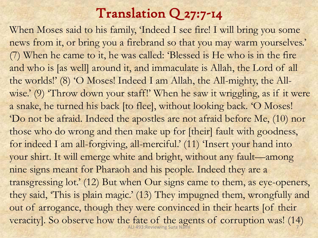### Translation Q 27:7-14

When Moses said to his family, 'Indeed I see fire! I will bring you some news from it, or bring you a firebrand so that you may warm yourselves.' (7) When he came to it, he was called: 'Blessed is He who is in the fire and who is [as well] around it, and immaculate is Allah, the Lord of all the worlds!' (8) 'O Moses! Indeed I am Allah, the All-mighty, the Allwise.' (9) 'Throw down your staff!' When he saw it wriggling, as if it were a snake, he turned his back [to flee], without looking back. 'O Moses! 'Do not be afraid. Indeed the apostles are not afraid before Me, (10) nor those who do wrong and then make up for [their] fault with goodness, for indeed I am all-forgiving, all-merciful.' (11) 'Insert your hand into your shirt. It will emerge white and bright, without any fault—among nine signs meant for Pharaoh and his people. Indeed they are a transgressing lot.' (12) But when Our signs came to them, as eye-openers, they said, 'This is plain magic.' (13) They impugned them, wrongfully and out of arrogance, though they were convinced in their hearts [of their veracity]. So observe how the fate of the agents of corruption was! (14) ALI 493:Reviewing Sura Naml 7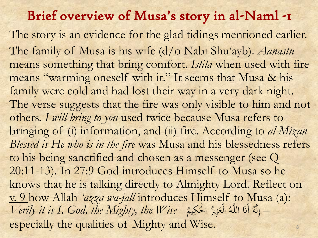#### Brief overview of Musa's story in al-Naml -1

The story is an evidence for the glad tidings mentioned earlier. The family of Musa is his wife (d/o Nabi Shu'ayb). *Aanastu* means something that bring comfort. *Istila* when used with fire means "warming oneself with it." It seems that Musa & his family were cold and had lost their way in a very dark night. The verse suggests that the fire was only visible to him and not others. *I will bring to you* used twice because Musa refers to bringing of (i) information, and (ii) fire. According to *al-Mizan Blessed is He who is in the fire* was Musa and his blessedness refers to his being sanctified and chosen as a messenger (see Q 20:11-13). In 27:9 God introduces Himself to Musa so he knows that he is talking directly to Almighty Lord. Reflect on v. 9 how Allah *'azza wa-jall* introduces Himself to Musa (a): *Verily it is I, God, the Mighty, the Wise* -  $\overline{a}$ نَّهُ أَنَا اللَّهُ الْعَزِيزُ الْحَ بد<br>ف  $\int$ إ ت<br>7 <u>ا</u><br>ا ا j الْعَزِيزُ **م** ْ  $\overline{a}$ أَنَا اللَّهُ :<br>نا  $\mathsf{L}$ – إِنَّهُ أَنَا اللَّهُ الْعَزِيزُ الْحَكِيمُ especially the qualities of Mighty and Wise.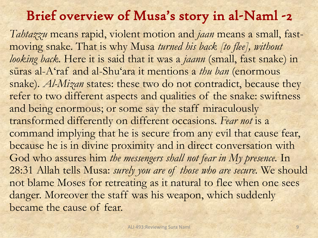#### Brief overview of Musa's story in al-Naml -2

*Tahtazzu* means rapid, violent motion and *jaan* means a small, fastmoving snake. That is why Musa *turned his back [to flee], without looking back.* Here it is said that it was a *jaann* (small, fast snake) in sūras al-A'raf and al-Shu'ara it mentions a *thu ban* (enormous snake). *Al-Mizan* states: these two do not contradict, because they refer to two different aspects and qualities of the snake: swiftness and being enormous; or some say the staff miraculously transformed differently on different occasions. *Fear not* is a command implying that he is secure from any evil that cause fear, because he is in divine proximity and in direct conversation with God who assures him *the messengers shall not fear in My presence*. In 28:31 Allah tells Musa: *surely you are of those who are secure.* We should not blame Moses for retreating as it natural to flee when one sees danger. Moreover the staff was his weapon, which suddenly became the cause of fear.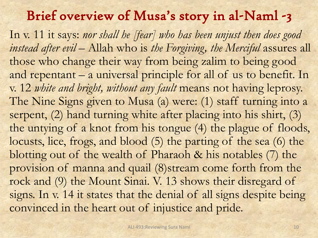#### Brief overview of Musa's story in al-Naml -3

In v. 11 it says: nor shall he [fear] who has been unjust then does good instead after evil – Allah who is the Forgiving, the Merciful assures all those who change their way from being zalim to being good and repentant – a universal principle for all of us to benefit. In v. 12 *white and bright, without any fault* means not having leprosy. The Nine Signs given to Musa (a) were: (1) staff turning into a serpent, (2) hand turning white after placing into his shirt, (3) the untying of a knot from his tongue (4) the plague of floods, locusts, lice, frogs, and blood (5) the parting of the sea (6) the blotting out of the wealth of Pharaoh & his notables (7) the provision of manna and quail (8)stream come forth from the rock and (9) the Mount Sinai. V. 13 shows their disregard of signs. In v. 14 it states that the denial of all signs despite being convinced in the heart out of injustice and pride.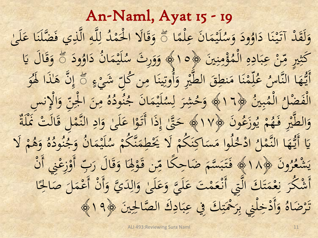An-Naml, Ayat 15 - 19  $\sim$ لَيْمَانَ عِلْمً  $\frac{1}{\sqrt{2}}$ ِ  $\ddot{\zeta}$  $\sim$  $\ddot{\phantom{0}}$ ه<br>بان<br>  $\frac{1}{\sqrt{2}}$  $\overline{\phantom{a}}$ ودَ وَسُ و<br>.  $\overline{\phantom{a}}$ J وَلَقَدْ آتَيْنَا دَاؤُودَ وَسُلَيْمَانَ عِلْمًا مَّ وَقَالَا الْحَمْدُ لِلَّهِ الَّذِ  $\overline{\phantom{a}}$  $\ddot{\lambda}$ ن  $\ddot{\phantom{0}}$ <u>تا</u><br>تا ل<br>ا ل ہ<br>ب  $\overline{\phantom{a}}$  $\overline{4}$ ؙؚ ل  $\overline{\phantom{a}}$ وَقَالًا الْحَمْدُ <sup></sup> ن<br>پ <u>ا</u><br>ا <u>ة قا</u> َ ۖ ً وَقَالًا الْحَمْدُ لِلّهِ الّذِي فَضَّلْنَا عَلَىٰ<br>مَسْتَقَدَّمَتُ إِلَيْهِ  $\mu$ ى<br>ك  $\frac{1}{2}$ ا اور  $\frac{1}{2}$ ن ُّ ؤ  $\ddot{\phantom{0}}$  $\ddot{\cdot}$ **.<br>.<br>.**  $\overline{a}$ ەم<br>دە  $\overline{b}$ نْ عِبَادِهِ الْمُ  $\int$  $\overline{a}$  $\overline{ }$  $\ddot{\cdot}$  $\frac{1}{2}$ ِ ْ يم ، ع ِ َكْثِيرِ مِّنْ عِبَادِهِ الْمُؤْمِنِينَ ﴿ 10  $\frac{1}{2}$  $\ddot{x}$ ہ<br>مد لَيْمَانُ دَاؤُر  $\overline{\phantom{a}}$  $\sim$  $\ddot{\phantom{2}}$ **ه ⊀:**  $\frac{1}{2}$  $\ddot{\phantom{0}}$ مَلَّةٍ وَوَرِثَ سُلَيْمَانُ دَاوُودَ مَّ وَقَالَ يَا<br>وَيَسْمَعُ عَلَيْهَا اللَّهُ عَلَيْهِ مَنْ يَوْ َ  $\overline{ }$ و<br>. َ  $\overline{\phantom{a}}$ ا<br>ا نها<br>نا  $\frac{9}{1}$ ै।<br>जन्म صلح<br>پښتنې َ لَّمْنَا مَنطِقَ الطَّيْرِ وَأَ **T**  $\ddot{\phantom{0}}$  $\frac{1}{2}$  $\overline{\phantom{a}}$  $\ddot{\lambda}$ بند  $\overline{a}$ ِ د<br>د محم  $\overline{\phantom{a}}$ أَيُّهَا النَّاسُ عُلِّمْنَا مَنطِقَ الطَّيْرِ وَأُوتِينَا مِن كُلِّ شَيْءٍ<br>إِنَّهَ وَإِسْلاَمِ وَالْمَنَامِ الطَّيْرِ وَأُوتِينَا مِن كُلِّ شَيْءٍ َ  $\zeta$ ْ أُوتِينَا مِن كُلِّ شَيْءٍ ﴾ إِنَّ ِ  $\overline{\phantom{a}}$  $\frac{1}{2}$ ِ<br>پُلُ  $\int$ إ ۖ ً إِنَّ هَٰٰذَا هُوَ َ هَاٰٰذَا لَهُوْ<br>و ا<br>ا **a** بين قبين<br>م  $\ddot{\cdot}$  $\ddot{\cdot}$ م ال  $\int$  $\overline{\phantom{0}}$ الْفَضْلُ الْمُبِينُ ﴿1٦  $\int$  $\overline{c}$ ه  $\overline{\phantom{0}}$ ود دَ:<br>.<br>. و<br>م لَيْمَانَ جُ  $\ddot{\zeta}$  $\sim$ **∴ ه**<br>:  $\frac{1}{\sqrt{2}}$  $\overline{\phantom{a}}$ مِهِ وَحُشِرَ لِسُلَيْمَانَ جُنُودُهُ مِنَ الْجِنِّ وَالْإِنسِ<br>« لَا تَسْتَمَرُّ لِسُلَيْمَانَ جُنُودُهُ مِنَ الْجِنِّ وَالْإِنسِ ؚ ل  $\overline{\phantom{a}}$ ور<br>پاک َ  $\overline{a}$  $\sum$ <u>لا</u> ي .<br>مِنَ الْجِنِّ  $\ddot{\cdot}$ <u>لل</u>ا: ا  $\ddot{\phantom{0}}$  $\overline{a}$ ونَ پڻج ن<br>•<br>•  $\frac{1}{\sqrt{2}}$ ْوَزْعُ ڒ بہ<br>: و<br>يا  $\frac{1}{2}$ م  $\frac{1}{2}$ وَالطَّيْرِ فَهُمْ يُوزَعُونَ ﴿١٧﴾ حَقَّ إِذَا أَتَوْا عَلَىٰ وَادِ النَّمْلُ قَالَتْ كَلَّةٌ <u>ة</u> ؚ **M** َ َ  $\frac{1}{2}$ ک<br>ا a<br>is <u>تا</u><br>تا <u>بر ر</u>  $\int$ إ  $\overline{\phantom{0}}$ ْ  $\ddot{\bm{\zeta}}$ ا با<br>ما با ا َ <u>:</u><br>قا ِ  $\frac{1}{\sqrt{2}}$ لَمُوا مَسَاكِنَكُمْ لَا ْ  $\ddot{\lambda}$ ن  $\overline{\mathsf{S}}$  $\overline{\phantom{a}}$  $\lambda$  $\overline{\phantom{a}}$ ِ اد <u>'</u>  $\overline{\phantom{a}}$ يَا أَيُّهَا النَّمْلُ ادْخُلُوا مَسَاكِنَكُمْ لَا يَخْطِمَنَّكُمْ سُلَيْمَانُ وَ-<br>وه مسلم النَّمْلُ ادْخُلُوا مَسَاكِنَكُمْ لَا يَخْطَمَنَّكُمْ سُلَيْمَانُ وَ- $\overline{\phantom{a}}$ **َ):** ہ<br>ج  $\overline{a}$ **∴ ه**<br>:  $\frac{1}{2}$  $\overline{\phantom{a}}$ يَكْطِمَنَّكُمْ سُلَيْمَانُ وَجُنُودُهُ وَهُمْ لَا<br>يَحْطِمَنَّكُمْ سُلَيْمَانُ وَجُنُودُهُ وَهُمْ لَا <sup> $\mathbf{r}$ </sup> ن<br>نم<br>ن  $\overline{a}$  $\frac{1}{2}$  $\left\langle \cdot \right\rangle$ <sup>1</sup>  $\boldsymbol{\beta}$ ه َ َ  $\overline{c}$ ه  $\overline{\phantom{a}}$ ود د.<br>د و<br>م ج ونَ پ  $\ddot{\zeta}$  $\overline{\phantom{a}}$ رو و يَشْعُرُونَ ﴿١٨﴾ فَتَبَسَّمَ ضَاحِكًا مِّن قَوْلِهَ ان<br>مار<br>مار یا۔<br>نام  $\cup$  $\frac{1}{2}$ <sup>o</sup> <u>: ہ</u> ي  $\frac{1}{2}$ ِنَّ فَتَبَسَّمَ ضَاحِكًا مِّن قَوْلِهَا وَقَالَ رَبِّ أَوْزِعْنِي<br>بَيْسَمَّةً مَنْ جَمَّا مِّن قَوْلِهَا وَقَالَ رَبِّ أَوْزِعْنِي  $\ddot{\phantom{1}}$ م<br>ا  $\frac{1}{2}$  $\frac{1}{2}$ <u>ة</u> **می** ي َا وَقَالَ رَبِّ أَوْزِعْنِي أَنْ ِ<br>پا  $\overline{\phantom{a}}$ ا<br>ا ن<br>نا َ ْ ِيَا<br>پا تَ عَلَيَّ  $\mu$ ک<br>ا  $\ddot{\phantom{a}}$ أَشْكُرَ نِعْمَتَكَ الَّتِي أَنْعَمْتَ عَلَيَّ وَعَلَىٰ وَالِدَيَّ وَأَنْ أَعْمَلَ صَالِحًا<br>مَسْلَمَ نِعْمَتَكَ الَّتِي أَنْعَمْتَ عَلَيَّ وَعَلَىٰ وَالِدَيَّ وَأَنْ أَعْمَلَ صَالِحًا ्र<br>∕ .<br>.<br>.  $\frac{1}{2}$  $\frac{1}{2}$ ْ ِ<br>نِ ن  $\frac{1}{2}$ ْ **S** ْ َ ِ َ  $\frac{1}{2}$ ک<br>ا َ ً ان<br>ا  $\overline{\phantom{a}}$  $\sim$ ِ وَأَدْخِلْنِي بِرَحْمَتِكَ فِي عِ  $\ddot{\ddot{\cdot}}$  $\frac{1}{2}$  $\ddot{\cdot}$ ነ<br>ነ  $\frac{1}{2}$ ِ<br>با  $\mu$  $\ddot{\cdot}$ ْ َ  $\overline{c}$ ضاهُ رضہ<br>ر تَرْضَاهُ وَأَدْخِلْنِي بِرَحْمَتِكَ فِي عِبَادِكَ الصَّالِحِينَ ﴿  $\ddot{\phantom{0}}$ ِ بَادِكَ الصَّالِحِينَ ﴿ 19﴾ .<br>با  $\ddot{\cdot}$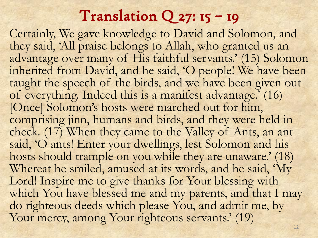### Translation  $Q$  27: 15 – 19

Certainly, We gave knowledge to David and Solomon, and they said, 'All praise belongs to Allah, who granted us an advantage over many of His faithful servants.' (15) Solomon inherited from David, and he said, 'O people! We have been taught the speech of the birds, and we have been given out of everything. Indeed this is a manifest advantage.' (16) [Once] Solomon's hosts were marched out for him, comprising jinn, humans and birds, and they were held in check. (17) When they came to the Valley of Ants, an ant said, 'O ants! Enter your dwellings, lest Solomon and his hosts should trample on you while they are unaware.' (18) Whereat he smiled, amused at its words, and he said, 'My Lord! Inspire me to give thanks for Your blessing with which You have blessed me and my parents, and that I may do righteous deeds which please You, and admit me, by Your mercy, among Your righteous servants.' (19)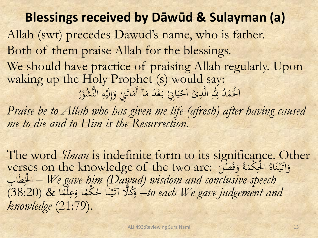**Blessings received by Dāwūd & Sulayman (a)** Allah (swt) precedes Dāwūd's name, who is father. Both of them praise Allah for the blessings. We should have practice of praising Allah regularly. Upon waking up the Holy Prophet (s) would say: اَلْحَمْدُ لِلّٰهِ الَّذِيْ اَحْيَانٍۢ بَعْدَ مَاۤ أَمَاتَنِيْ وَإِ  $\overline{a}$ .<br>.<br>. ا َ ا بار<br>بال تا<br>تا  $\lambda$  $\overline{a}$ ب<br>.  $\bigg($  $\ddot{\cdot}$  $\frac{1}{2}$ ْ ا <u>ٔ</u>  $\overline{a}$ اُ ي ِ لِّلهِ الَّذِيْ اَحْيَانِيْ بَعْدَ مَآ أَمَاتَنِيْ وَإِلَيْهِ  $\frac{1}{2}$ إ  $\frac{1}{2}$ النَّشُوْرُ <sup>o</sup> *Praise be to Allah who has given me life (afresh) after having caused me to die and to Him is the Resurrection.*

The word *'ilman* is indefinite form to its significance. Other verses on the knowledge of the two are: فَكُمَةَ وَفَصْلَ و<br>د  $\sim$ <u>لا</u> ا  $\frac{c}{c}$ وَآتَيْنَاهُ الْحِكْمَةَ وَفَصْلَ  $\ddot{\lambda}$ ن  $\ddot{\ddot{\cdot}}$ نا<br>نا َ  $\frac{c}{1}$  $\frac{1}{l}$ ٍِ طَب ْلِ ا – *We gave him (Dawud) wisdom and conclusive speech*  <u>لا</u> ب & (38:20) ْكم  $\frac{1}{2}$  $\overline{\phantom{0}}$ to each We gave judgement and- وَكُلَّا آتَيْنَا حُكْمًا وَعِلْمًا  $\ddot{\phantom{0}}$ ن  $\ddot{\phantom{2}}$ <u>تا</u> <u>و</u> ه<br>ر  $\frac{1}{\sqrt{2}}$  $\frac{1}{2}$ *knowledge* (21:79).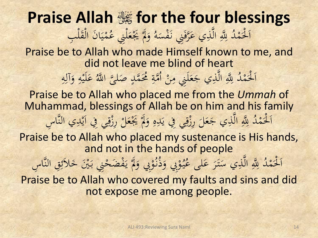**Praise Allah** i **for the four blessings** الْحَمْدُ لِلَّهِ الَّذِي عَرَّفَنِي نَفْسَهُ  $\bullet$ .<br>. <u>ة</u> َ  $\overline{a}$ نَفْسَهُ وَلَمْ يَجْعَلْنِي عُمْيَانَ  $\overline{\phantom{a}}$  $\ddot{a}$  $\hat{a}$ َ  $\ddot{\ddot{\cdot}}$ ي  $\overline{a}$  $\overline{\phantom{a}}$ يَجْعَلْنِي عُمْيَانَ الْقَلْبِ  $\mu$ **م b** ْ Praise be to Allah who made Himself known to me, and did not leave me blind of heart اَلْحَمْدُ لِلَّهِ الَّذِي جَعَلَنِي مِنْ أُمَّةٍ مُحَمَّدٍ صَلَّىَ اللَّهُ عَلَيْهِ ە<br>. ٔ<br>ا ا **تم** ا **في المسلمات المسلمات المسلمات المسلمات المسلمات المسلمات المسلمات المسلمات المسلمات المسلمات المسلمات المسلما**  $\frac{1}{2}$ لَ **م**  $\ddot{\phantom{0}}$  $\overline{a}$ ڵ ِي<br>م  $\overline{\phantom{0}}$  $\overline{4}$  $\ddot{\phantom{2}}$ َ  $\frac{2}{1}$ سَ اللَّهُ ۖ<br>بَا اللَّهُ لَّىَّ اللَّهُ عَلَيْهِ وَآلِهِ  $\overline{\phantom{a}}$ ِِ صَلَّىَّ اللَّهُ عَلَيْهِ وَآلِ<br>ا Praise be to Allah who placed me from the *Ummah* of Muhammad, blessings of Allah be on him and his family د م ْل ْ َ ه دِ ي ِِف ي ِ ِرز َل ْ ي ج ذِ َّ ال َّ ْ لِل ِ ََل َ ي ال دِ ي ِِف ا ِ ِرز َل ْ َّب ِس ََي **b** <u>َ</u> ا  $\overline{c}$ َ  $\frac{1}{2}$ .<br>.<br>. ِ<br>ا  $\ddot{\phantom{0}}$  $\overline{a}$ َ ابا:<br>-ي  $\mathbf{a}$  $\frac{1}{2}$ ز<br>ز الم<br>المسلمان<br>المسلمان<br>المسلماني <sup>a</sup> ن<br>نم Praise be to Allah who placed my sustenance is His hands, and not in the hands of people اَلْحَمْدُ لِلَّهِ الَّذِي سَتَرَ عَلَى عُيُوْبِي  $\overline{a}$ <u>ً</u> ەر<br>م  $\frac{1}{2}$ يـ  $\overline{\phantom{a}}$ لَّهِ الَّذِي سَتَرَ عَلَى عُ ى<br>ب ر<br>ا  $\overline{a}$  $\overline{a}$ للَّهِ الَّذِي سَتَرَ عَلَى عُيُوْبِي وَذُّنُوْ<br>. وَذُنُوْبِي وَلَمْ يَفْضَحْنِي بَيْنَ خَلاَئِقِ النَّاسِ َ **Contract** َ ِ<br>پاک ع ک ْ یا۔<br>ا Praise be to Allah who covered my faults and sins and did not expose me among people.